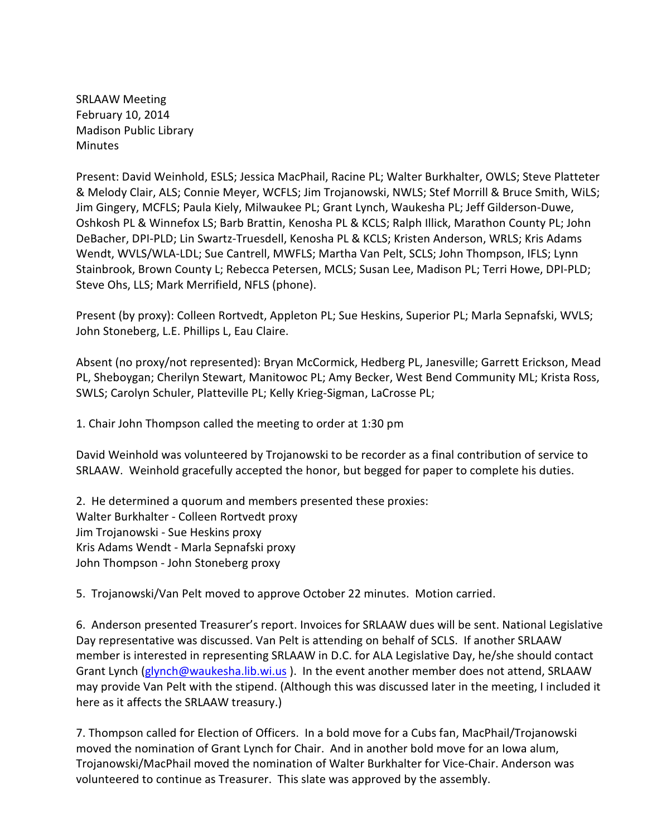SRLAAW Meeting February 10, 2014 Madison Public Library **Minutes** 

Present: David Weinhold, ESLS; Jessica MacPhail, Racine PL; Walter Burkhalter, OWLS; Steve Platteter & Melody Clair, ALS; Connie Meyer, WCFLS; Jim Trojanowski, NWLS; Stef Morrill & Bruce Smith, WiLS; Jim Gingery, MCFLS; Paula Kiely, Milwaukee PL; Grant Lynch, Waukesha PL; Jeff Gilderson-Duwe, Oshkosh PL & Winnefox LS; Barb Brattin, Kenosha PL & KCLS; Ralph Illick, Marathon County PL; John DeBacher, DPI-PLD; Lin Swartz-Truesdell, Kenosha PL & KCLS; Kristen Anderson, WRLS; Kris Adams Wendt, WVLS/WLA-LDL; Sue Cantrell, MWFLS; Martha Van Pelt, SCLS; John Thompson, IFLS; Lynn Stainbrook, Brown County L; Rebecca Petersen, MCLS; Susan Lee, Madison PL; Terri Howe, DPI-PLD; Steve Ohs, LLS; Mark Merrifield, NFLS (phone).

Present (by proxy): Colleen Rortvedt, Appleton PL; Sue Heskins, Superior PL; Marla Sepnafski, WVLS; John Stoneberg, L.E. Phillips L, Eau Claire.

Absent (no proxy/not represented): Bryan McCormick, Hedberg PL, Janesville; Garrett Erickson, Mead PL, Sheboygan; Cherilyn Stewart, Manitowoc PL; Amy Becker, West Bend Community ML; Krista Ross, SWLS; Carolyn Schuler, Platteville PL; Kelly Krieg-Sigman, LaCrosse PL;

1. Chair John Thompson called the meeting to order at 1:30 pm

David Weinhold was volunteered by Trojanowski to be recorder as a final contribution of service to SRLAAW. Weinhold gracefully accepted the honor, but begged for paper to complete his duties.

2. He determined a quorum and members presented these proxies: Walter Burkhalter - Colleen Rortvedt proxy Jim Trojanowski - Sue Heskins proxy Kris Adams Wendt - Marla Sepnafski proxy John Thompson - John Stoneberg proxy

5. Trojanowski/Van Pelt moved to approve October 22 minutes. Motion carried.

6. Anderson presented Treasurer's report. Invoices for SRLAAW dues will be sent. National Legislative Day representative was discussed. Van Pelt is attending on behalf of SCLS. If another SRLAAW member is interested in representing SRLAAW in D.C. for ALA Legislative Day, he/she should contact Grant Lynch [\(glynch@waukesha.lib.wi.us](mailto:glynch@waukesha.lib.wi.us) ). In the event another member does not attend, SRLAAW may provide Van Pelt with the stipend. (Although this was discussed later in the meeting, I included it here as it affects the SRLAAW treasury.)

7. Thompson called for Election of Officers. In a bold move for a Cubs fan, MacPhail/Trojanowski moved the nomination of Grant Lynch for Chair. And in another bold move for an Iowa alum, Trojanowski/MacPhail moved the nomination of Walter Burkhalter for Vice-Chair. Anderson was volunteered to continue as Treasurer. This slate was approved by the assembly.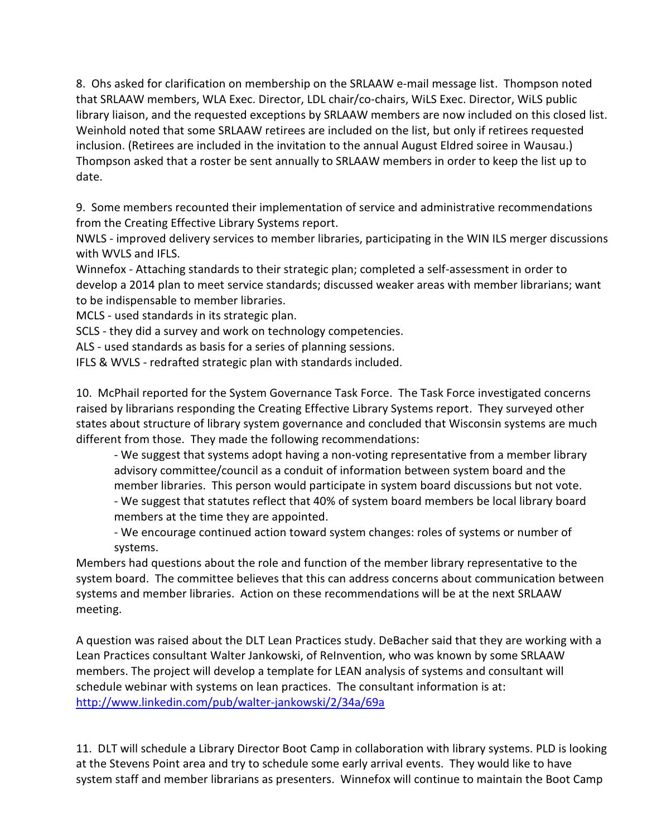8. Ohs asked for clarification on membership on the SRLAAW e-mail message list. Thompson noted that SRLAAW members, WLA Exec. Director, LDL chair/co-chairs, WiLS Exec. Director, WiLS public library liaison, and the requested exceptions by SRLAAW members are now included on this closed list. Weinhold noted that some SRLAAW retirees are included on the list, but only if retirees requested inclusion. (Retirees are included in the invitation to the annual August Eldred soiree in Wausau.) Thompson asked that a roster be sent annually to SRLAAW members in order to keep the list up to date.

9. Some members recounted their implementation of service and administrative recommendations from the Creating Effective Library Systems report.

NWLS - improved delivery services to member libraries, participating in the WIN ILS merger discussions with WVLS and IFLS.

Winnefox - Attaching standards to their strategic plan; completed a self-assessment in order to develop a 2014 plan to meet service standards; discussed weaker areas with member librarians; want to be indispensable to member libraries.

MCLS - used standards in its strategic plan.

SCLS - they did a survey and work on technology competencies.

ALS - used standards as basis for a series of planning sessions.

IFLS & WVLS - redrafted strategic plan with standards included.

10. McPhail reported for the System Governance Task Force. The Task Force investigated concerns raised by librarians responding the Creating Effective Library Systems report. They surveyed other states about structure of library system governance and concluded that Wisconsin systems are much different from those. They made the following recommendations:

- We suggest that systems adopt having a non-voting representative from a member library advisory committee/council as a conduit of information between system board and the member libraries. This person would participate in system board discussions but not vote.

- We suggest that statutes reflect that 40% of system board members be local library board members at the time they are appointed.

- We encourage continued action toward system changes: roles of systems or number of systems.

Members had questions about the role and function of the member library representative to the system board. The committee believes that this can address concerns about communication between systems and member libraries. Action on these recommendations will be at the next SRLAAW meeting.

A question was raised about the DLT Lean Practices study. DeBacher said that they are working with a Lean Practices consultant Walter Jankowski, of ReInvention, who was known by some SRLAAW members. The project will develop a template for LEAN analysis of systems and consultant will schedule webinar with systems on lean practices. The consultant information is at: <http://www.linkedin.com/pub/walter-jankowski/2/34a/69a>

11. DLT will schedule a Library Director Boot Camp in collaboration with library systems. PLD is looking at the Stevens Point area and try to schedule some early arrival events. They would like to have system staff and member librarians as presenters. Winnefox will continue to maintain the Boot Camp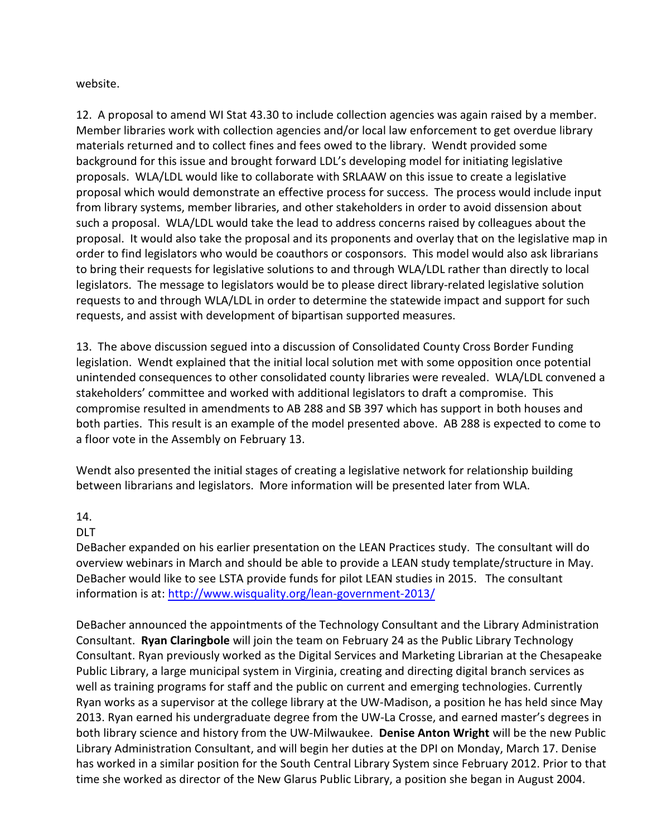website.

12. A proposal to amend WI Stat 43.30 to include collection agencies was again raised by a member. Member libraries work with collection agencies and/or local law enforcement to get overdue library materials returned and to collect fines and fees owed to the library. Wendt provided some background for this issue and brought forward LDL's developing model for initiating legislative proposals. WLA/LDL would like to collaborate with SRLAAW on this issue to create a legislative proposal which would demonstrate an effective process for success. The process would include input from library systems, member libraries, and other stakeholders in order to avoid dissension about such a proposal. WLA/LDL would take the lead to address concerns raised by colleagues about the proposal. It would also take the proposal and its proponents and overlay that on the legislative map in order to find legislators who would be coauthors or cosponsors. This model would also ask librarians to bring their requests for legislative solutions to and through WLA/LDL rather than directly to local legislators. The message to legislators would be to please direct library-related legislative solution requests to and through WLA/LDL in order to determine the statewide impact and support for such requests, and assist with development of bipartisan supported measures.

13. The above discussion segued into a discussion of Consolidated County Cross Border Funding legislation. Wendt explained that the initial local solution met with some opposition once potential unintended consequences to other consolidated county libraries were revealed. WLA/LDL convened a stakeholders' committee and worked with additional legislators to draft a compromise. This compromise resulted in amendments to AB 288 and SB 397 which has support in both houses and both parties. This result is an example of the model presented above. AB 288 is expected to come to a floor vote in the Assembly on February 13.

Wendt also presented the initial stages of creating a legislative network for relationship building between librarians and legislators. More information will be presented later from WLA.

## 14.

DLT

DeBacher expanded on his earlier presentation on the LEAN Practices study. The consultant will do overview webinars in March and should be able to provide a LEAN study template/structure in May. DeBacher would like to see LSTA provide funds for pilot LEAN studies in 2015. The consultant information is at: <http://www.wisquality.org/lean-government-2013/>

DeBacher announced the appointments of the Technology Consultant and the Library Administration Consultant. **Ryan Claringbole** will join the team on February 24 as the Public Library Technology Consultant. Ryan previously worked as the Digital Services and Marketing Librarian at the Chesapeake Public Library, a large municipal system in Virginia, creating and directing digital branch services as well as training programs for staff and the public on current and emerging technologies. Currently Ryan works as a supervisor at the college library at the UW-Madison, a position he has held since May 2013. Ryan earned his undergraduate degree from the UW-La Crosse, and earned master's degrees in both library science and history from the UW-Milwaukee. **Denise Anton Wright** will be the new Public Library Administration Consultant, and will begin her duties at the DPI on Monday, March 17. Denise has worked in a similar position for the South Central Library System since February 2012. Prior to that time she worked as director of the New Glarus Public Library, a position she began in August 2004.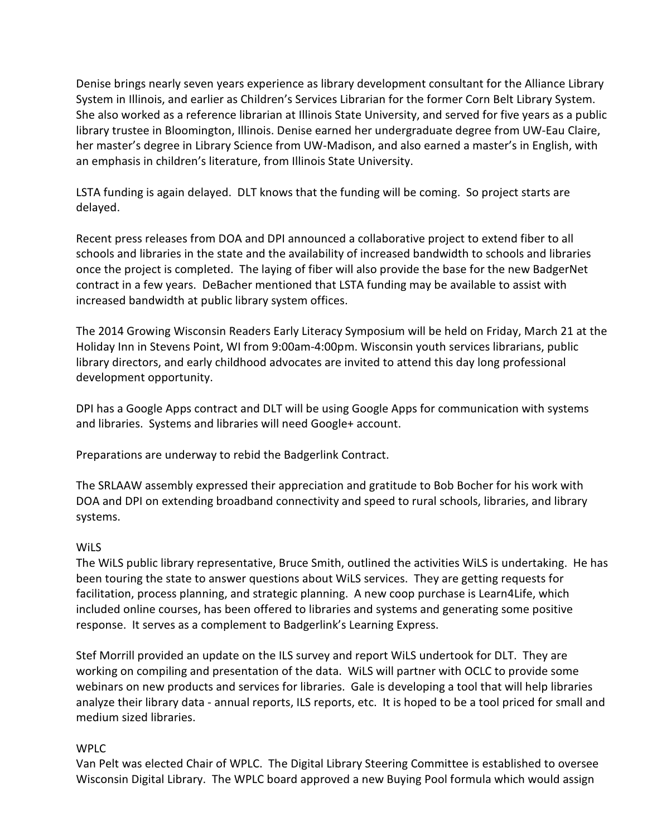Denise brings nearly seven years experience as library development consultant for the Alliance Library System in Illinois, and earlier as Children's Services Librarian for the former Corn Belt Library System. She also worked as a reference librarian at Illinois State University, and served for five years as a public library trustee in Bloomington, Illinois. Denise earned her undergraduate degree from UW-Eau Claire, her master's degree in Library Science from UW-Madison, and also earned a master's in English, with an emphasis in children's literature, from Illinois State University.

LSTA funding is again delayed. DLT knows that the funding will be coming. So project starts are delayed.

Recent press releases from DOA and DPI announced a collaborative project to extend fiber to all schools and libraries in the state and the availability of increased bandwidth to schools and libraries once the project is completed. The laying of fiber will also provide the base for the new BadgerNet contract in a few years. DeBacher mentioned that LSTA funding may be available to assist with increased bandwidth at public library system offices.

The 2014 Growing Wisconsin Readers Early Literacy Symposium will be held on Friday, March 21 at the Holiday Inn in Stevens Point, WI from 9:00am-4:00pm. Wisconsin youth services librarians, public library directors, and early childhood advocates are invited to attend this day long professional development opportunity.

DPI has a Google Apps contract and DLT will be using Google Apps for communication with systems and libraries. Systems and libraries will need Google+ account.

Preparations are underway to rebid the Badgerlink Contract.

The SRLAAW assembly expressed their appreciation and gratitude to Bob Bocher for his work with DOA and DPI on extending broadband connectivity and speed to rural schools, libraries, and library systems.

## **WiLS**

The WiLS public library representative, Bruce Smith, outlined the activities WiLS is undertaking. He has been touring the state to answer questions about WiLS services. They are getting requests for facilitation, process planning, and strategic planning. A new coop purchase is Learn4Life, which included online courses, has been offered to libraries and systems and generating some positive response. It serves as a complement to Badgerlink's Learning Express.

Stef Morrill provided an update on the ILS survey and report WiLS undertook for DLT. They are working on compiling and presentation of the data. WiLS will partner with OCLC to provide some webinars on new products and services for libraries. Gale is developing a tool that will help libraries analyze their library data - annual reports, ILS reports, etc. It is hoped to be a tool priced for small and medium sized libraries.

## WPLC

Van Pelt was elected Chair of WPLC. The Digital Library Steering Committee is established to oversee Wisconsin Digital Library. The WPLC board approved a new Buying Pool formula which would assign